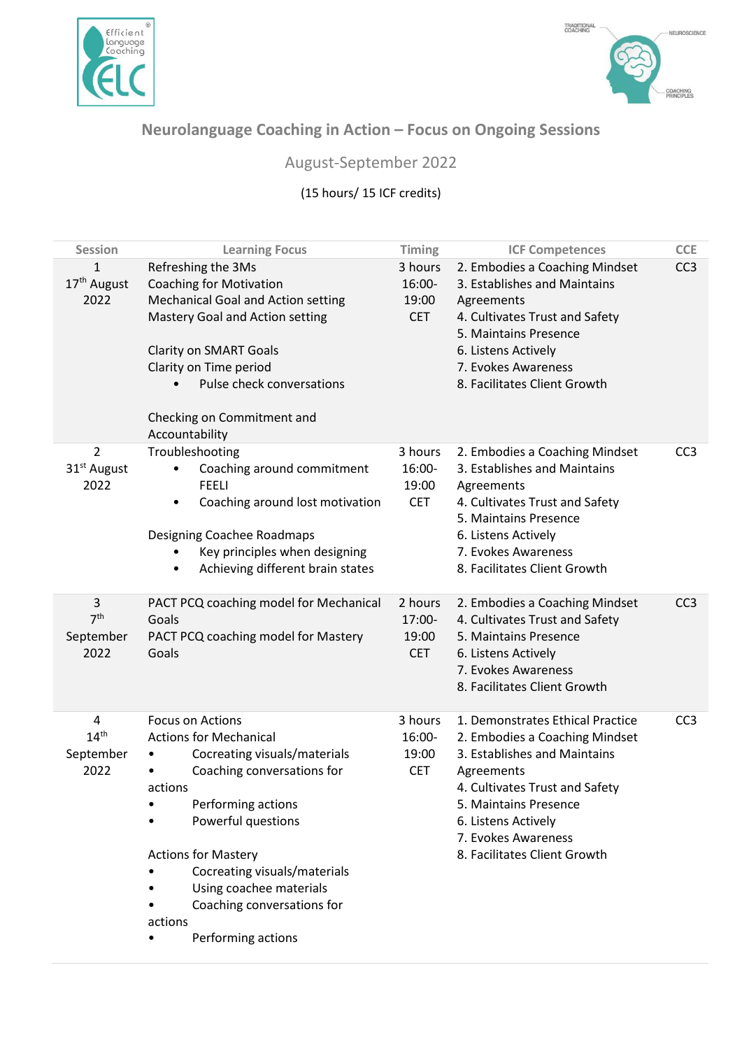



## **Neurolanguage Coaching in Action – Focus on Ongoing Sessions**

## August-September 2022

## (15 hours/ 15 ICF credits)

| <b>Session</b>                                         | <b>Learning Focus</b>                                                                                                                                                                                                                                                                                                                      | <b>Timing</b>                            | <b>ICF Competences</b>                                                                                                                                                                                                                                    | <b>CCE</b>      |
|--------------------------------------------------------|--------------------------------------------------------------------------------------------------------------------------------------------------------------------------------------------------------------------------------------------------------------------------------------------------------------------------------------------|------------------------------------------|-----------------------------------------------------------------------------------------------------------------------------------------------------------------------------------------------------------------------------------------------------------|-----------------|
| $\mathbf{1}$<br>17 <sup>th</sup> August<br>2022        | Refreshing the 3Ms<br><b>Coaching for Motivation</b><br><b>Mechanical Goal and Action setting</b><br>Mastery Goal and Action setting<br><b>Clarity on SMART Goals</b><br>Clarity on Time period<br>Pulse check conversations<br>$\bullet$<br>Checking on Commitment and<br>Accountability                                                  | 3 hours<br>16:00-<br>19:00<br><b>CET</b> | 2. Embodies a Coaching Mindset<br>3. Establishes and Maintains<br>Agreements<br>4. Cultivates Trust and Safety<br>5. Maintains Presence<br>6. Listens Actively<br>7. Evokes Awareness<br>8. Facilitates Client Growth                                     | CC <sub>3</sub> |
| $\overline{2}$<br>31 <sup>st</sup> August<br>2022      | Troubleshooting<br>Coaching around commitment<br><b>FEELI</b><br>Coaching around lost motivation<br>$\bullet$<br>Designing Coachee Roadmaps<br>Key principles when designing<br>Achieving different brain states<br>$\bullet$                                                                                                              | 3 hours<br>16:00-<br>19:00<br><b>CET</b> | 2. Embodies a Coaching Mindset<br>3. Establishes and Maintains<br>Agreements<br>4. Cultivates Trust and Safety<br>5. Maintains Presence<br>6. Listens Actively<br>7. Evokes Awareness<br>8. Facilitates Client Growth                                     | CC <sub>3</sub> |
| $\overline{3}$<br>7 <sup>th</sup><br>September<br>2022 | PACT PCQ coaching model for Mechanical<br>Goals<br>PACT PCQ coaching model for Mastery<br>Goals                                                                                                                                                                                                                                            | 2 hours<br>17:00-<br>19:00<br><b>CET</b> | 2. Embodies a Coaching Mindset<br>4. Cultivates Trust and Safety<br>5. Maintains Presence<br>6. Listens Actively<br>7. Evokes Awareness<br>8. Facilitates Client Growth                                                                                   | CC <sub>3</sub> |
| $\pmb{4}$<br>14 <sup>th</sup><br>September<br>2022     | <b>Focus on Actions</b><br><b>Actions for Mechanical</b><br>Cocreating visuals/materials<br>Coaching conversations for<br>actions<br>Performing actions<br>Powerful questions<br><b>Actions for Mastery</b><br>Cocreating visuals/materials<br>Using coachee materials<br>Coaching conversations for<br>actions<br>Performing actions<br>٠ | 3 hours<br>16:00-<br>19:00<br><b>CET</b> | 1. Demonstrates Ethical Practice<br>2. Embodies a Coaching Mindset<br>3. Establishes and Maintains<br>Agreements<br>4. Cultivates Trust and Safety<br>5. Maintains Presence<br>6. Listens Actively<br>7. Evokes Awareness<br>8. Facilitates Client Growth | CC <sub>3</sub> |